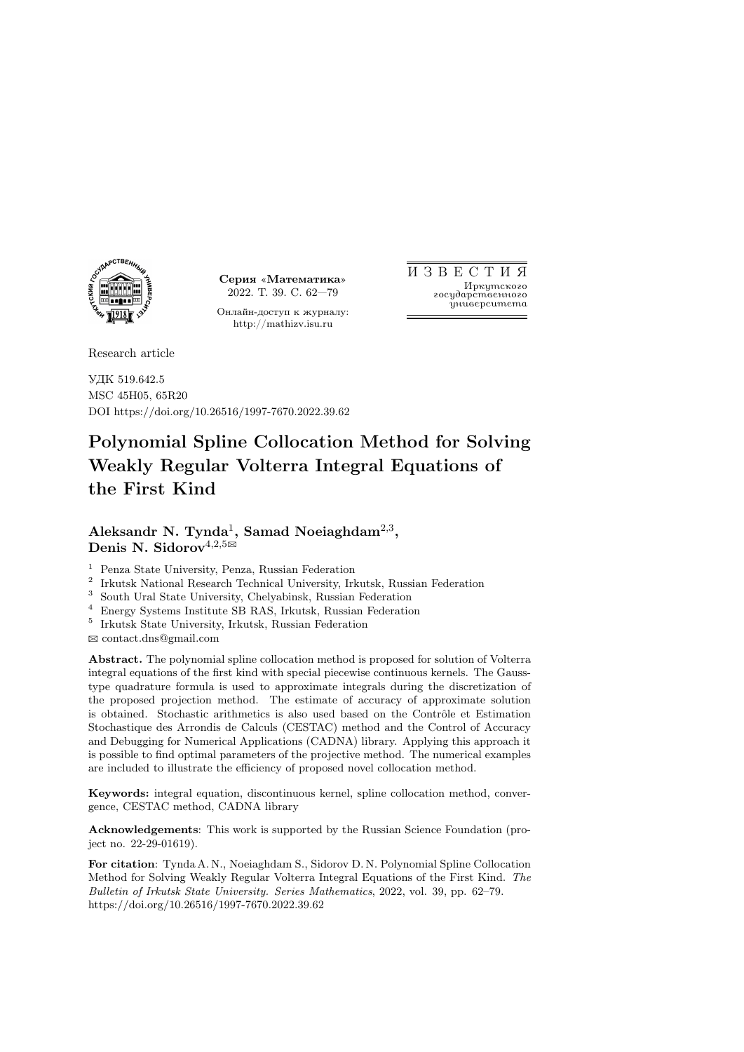

Серия «Математика» 2022. Т. 39. С. 62—79

Онлайн-доступ к журналу: http://mathizv.isu.ru

И З В Е С Т И Я Иркутского государственного университета

Research article

УДК 519.642.5 MSC 45H05, 65R20 DOI https://doi.org/10.26516/1997-7670.2022.39.62

# Polynomial Spline Collocation Method for Solving Weakly Regular Volterra Integral Equations of the First Kind

# Aleksandr N. Tynda<sup>1</sup>, Samad Noeiaghdam<sup>2,3</sup>, Denis N. Sidorov<sup>4,2,5 $\boxtimes$ </sup>

<sup>1</sup> Penza State University, Penza, Russian Federation

2 Irkutsk National Research Technical University, Irkutsk, Russian Federation

<sup>3</sup> South Ural State University, Chelyabinsk, Russian Federation

<sup>4</sup> Energy Systems Institute SB RAS, Irkutsk, Russian Federation

5 Irkutsk State University, Irkutsk, Russian Federation

B contact.dns@gmail.com

Abstract. The polynomial spline collocation method is proposed for solution of Volterra integral equations of the first kind with special piecewise continuous kernels. The Gausstype quadrature formula is used to approximate integrals during the discretization of the proposed projection method. The estimate of accuracy of approximate solution is obtained. Stochastic arithmetics is also used based on the Contr^ole et Estimation Stochastique des Arrondis de Calculs (CESTAC) method and the Control of Accuracy and Debugging for Numerical Applications (CADNA) library. Applying this approach it is possible to find optimal parameters of the projective method. The numerical examples are included to illustrate the efficiency of proposed novel collocation method.

Keywords: integral equation, discontinuous kernel, spline collocation method, convergence, CESTAC method, CADNA library

Acknowledgements: This work is supported by the Russian Science Foundation (project no. 22-29-01619).

For citation: Tynda A. N., Noeiaghdam S., Sidorov D. N. Polynomial Spline Collocation Method for Solving Weakly Regular Volterra Integral Equations of the First Kind. The Bulletin of Irkutsk State University. Series Mathematics, 2022, vol. 39, pp. 62–79. https://doi.org/10.26516/1997-7670.2022.39.62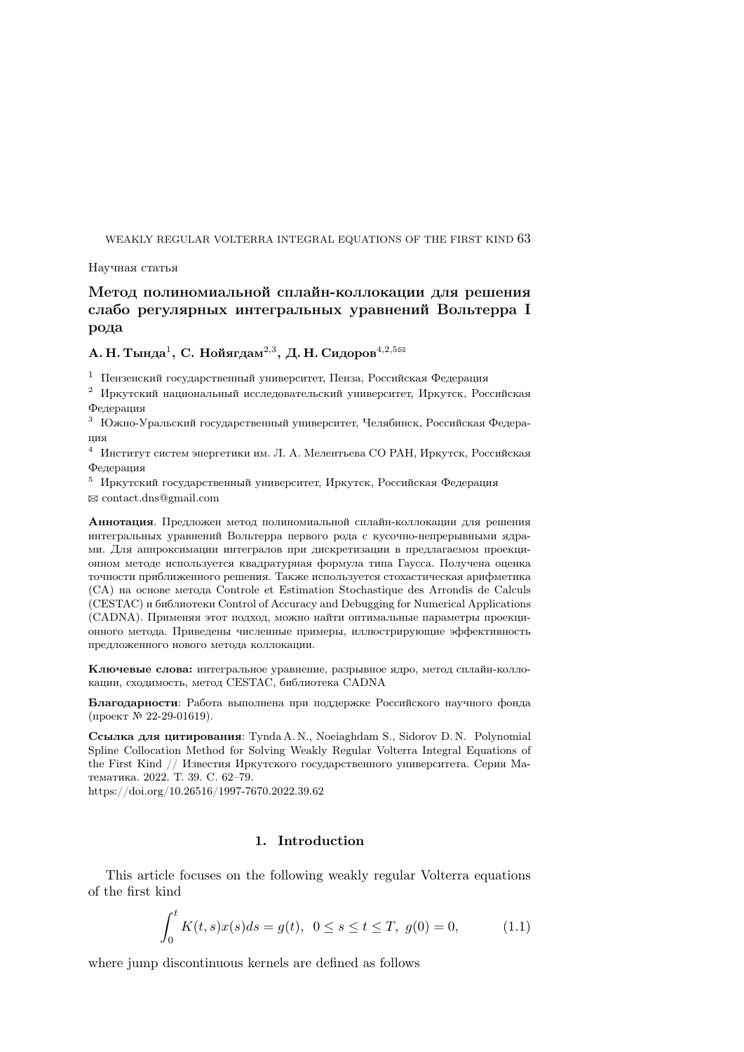Научная статья

# Метод полиномиальной сплайн-коллокации для решения слабо регулярных интегральных уравнений Вольтерра I рода

# А. Н. Тында<sup>1</sup>, С. Нойягдам<sup>2,3</sup>, Д. Н. Сидоров<sup>4,2,5</sup>

<sup>1</sup> Пензенский государственный университет, Пенза, Российская Федерация

<sup>2</sup> Иркутский национальный исследовательский университет, Иркутск, Российская Федерация

<sup>3</sup> Южно-Уральский государственный университет, Челябинск, Российская Федерация

<sup>4</sup> Институт систем энергетики им. Л. А. Мелентьева СО РАН, Иркутск, Российская Федерация

<sup>5</sup> Иркутский государственный университет, Иркутск, Российская Федерация  $\boxtimes$  contact.dns@gmail.com

Аннотация. Предложен метод полиномиальной сплайн-коллокации для решения интегральных уравнений Вольтерра первого рода с кусочно-непрерывными ядрами. Для аппроксимации интегралов при дискретизации в предлагаемом проекционном методе используется квадратурная формула типа Гаусса. Получена оценка точности приближенного решения. Также используется стохастическая арифметика (СА) на основе метода Controle et Estimation Stochastique des Arrondis de Calculs (CESTAC) и библиотеки Control of Accuracy and Debugging for Numerical Applications (CADNA). Применяя этот подход, можно найти оптимальные параметры проекционного метода. Приведены численные примеры, иллюстрирующие эффективность предложенного нового метода коллокации.

Ключевые слова: интегральное уравнение, разрывное ядро, метод сплайн-коллокации, сходимость, метод CESTAC, библиотека CADNA

Благодарности: Работа выполнена при поддержке Российского научного фонда (проект № 22-29-01619).

Ссылка для цитирования: Tynda A. N., Noeiaghdam S., Sidorov D. N. Polynomial Spline Collocation Method for Solving Weakly Regular Volterra Integral Equations of the First Kind // Известия Иркутского государственного университета. Серия Математика. 2022. Т. 39. C. 62–79.

https://doi.org/10.26516/1997-7670.2022.39.62

# 1. Introduction

This article focuses on the following weakly regular Volterra equations of the first kind

$$
\int_0^t K(t,s)x(s)ds = g(t), \ \ 0 \le s \le t \le T, \ g(0) = 0,
$$
\n(1.1)

where jump discontinuous kernels are defined as follows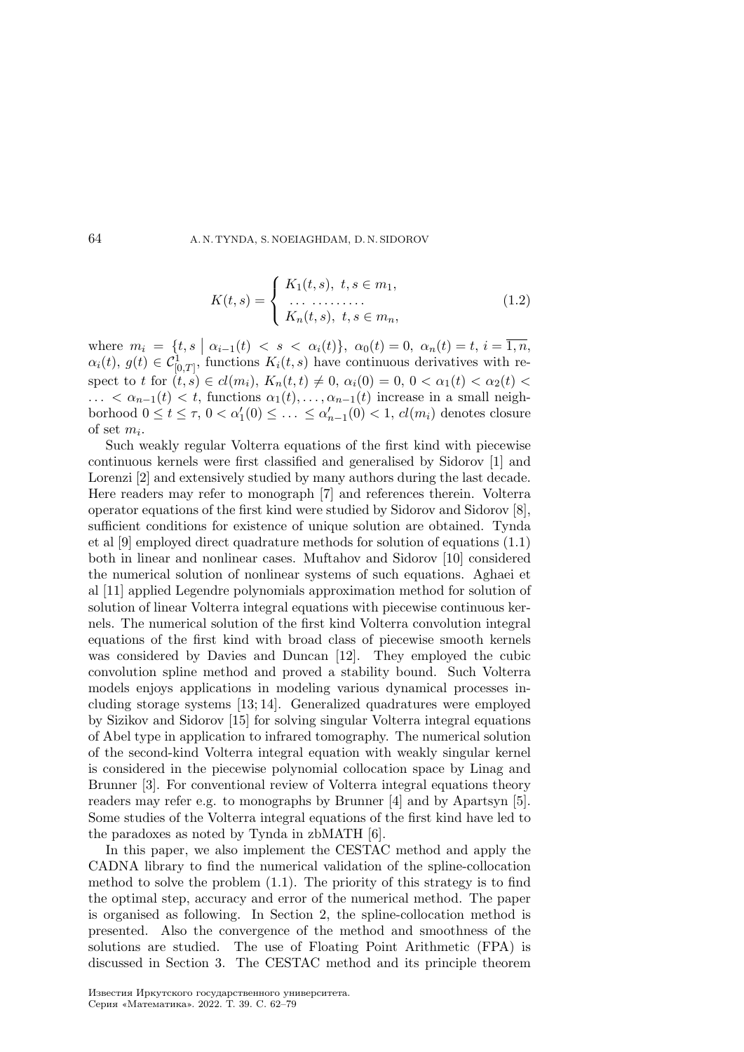$$
K(t,s) = \begin{cases} K_1(t,s), \ t,s \in m_1, \\ \dots \\ K_n(t,s), \ t,s \in m_n, \end{cases}
$$
 (1.2)

where  $m_i = \{t, s \mid \alpha_{i-1}(t) < s < \alpha_i(t)\}, \ \alpha_0(t) = 0, \ \alpha_n(t) = t, \ i = \overline{1, n},$  $\alpha_i(t), g(t) \in C^1_{[0,T]},$  functions  $K_i(t,s)$  have continuous derivatives with respect to t for  $(t, s) \in cl(m_i)$ ,  $K_n(t, t) \neq 0$ ,  $\alpha_i(0) = 0$ ,  $0 < \alpha_1(t) < \alpha_2(t)$  $\ldots < \alpha_{n-1}(t) < t$ , functions  $\alpha_1(t), \ldots, \alpha_{n-1}(t)$  increase in a small neighborhood  $0 \le t \le \tau$ ,  $0 < \alpha'_1(0) \le \ldots \le \alpha'_{n-1}(0) < 1$ ,  $cl(m_i)$  denotes closure of set  $m_i$ .

Such weakly regular Volterra equations of the first kind with piecewise continuous kernels were first classified and generalised by Sidorov [1] and Lorenzi [2] and extensively studied by many authors during the last decade. Here readers may refer to monograph [7] and references therein. Volterra operator equations of the first kind were studied by Sidorov and Sidorov [8], sufficient conditions for existence of unique solution are obtained. Tynda et al [9] employed direct quadrature methods for solution of equations (1.1) both in linear and nonlinear cases. Muftahov and Sidorov [10] considered the numerical solution of nonlinear systems of such equations. Aghaei et al [11] applied Legendre polynomials approximation method for solution of solution of linear Volterra integral equations with piecewise continuous kernels. The numerical solution of the first kind Volterra convolution integral equations of the first kind with broad class of piecewise smooth kernels was considered by Davies and Duncan [12]. They employed the cubic convolution spline method and proved a stability bound. Such Volterra models enjoys applications in modeling various dynamical processes including storage systems [13; 14]. Generalized quadratures were employed by Sizikov and Sidorov [15] for solving singular Volterra integral equations of Abel type in application to infrared tomography. The numerical solution of the second-kind Volterra integral equation with weakly singular kernel is considered in the piecewise polynomial collocation space by Linag and Brunner [3]. For conventional review of Volterra integral equations theory readers may refer e.g. to monographs by Brunner [4] and by Apartsyn [5]. Some studies of the Volterra integral equations of the first kind have led to the paradoxes as noted by Tynda in zbMATH [6].

In this paper, we also implement the CESTAC method and apply the CADNA library to find the numerical validation of the spline-collocation method to solve the problem (1.1). The priority of this strategy is to find the optimal step, accuracy and error of the numerical method. The paper is organised as following. In Section 2, the spline-collocation method is presented. Also the convergence of the method and smoothness of the solutions are studied. The use of Floating Point Arithmetic (FPA) is discussed in Section 3. The CESTAC method and its principle theorem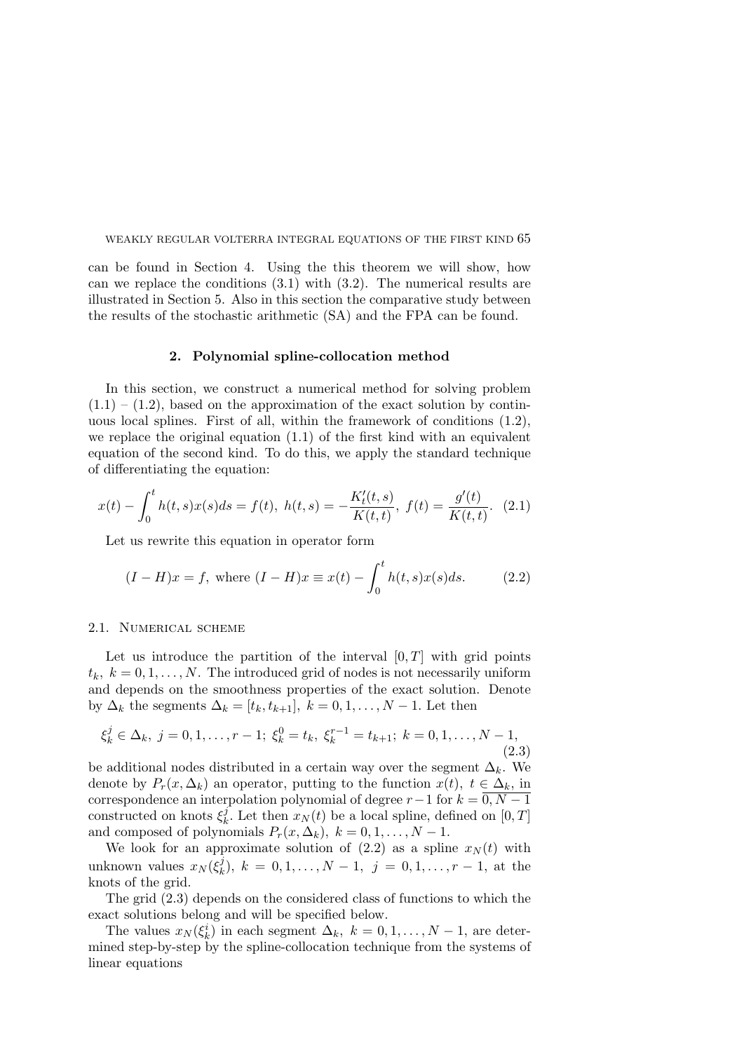can be found in Section 4. Using the this theorem we will show, how can we replace the conditions  $(3.1)$  with  $(3.2)$ . The numerical results are illustrated in Section 5. Also in this section the comparative study between the results of the stochastic arithmetic (SA) and the FPA can be found.

#### 2. Polynomial spline-collocation method

In this section, we construct a numerical method for solving problem  $(1.1) - (1.2)$ , based on the approximation of the exact solution by continuous local splines. First of all, within the framework of conditions (1.2), we replace the original equation (1.1) of the first kind with an equivalent equation of the second kind. To do this, we apply the standard technique of differentiating the equation:

$$
x(t) - \int_0^t h(t,s)x(s)ds = f(t), \ h(t,s) = -\frac{K'_t(t,s)}{K(t,t)}, \ f(t) = \frac{g'(t)}{K(t,t)}. \tag{2.1}
$$

Let us rewrite this equation in operator form

$$
(I - H)x = f
$$
, where  $(I - H)x \equiv x(t) - \int_0^t h(t, s)x(s)ds$ . (2.2)

#### 2.1. Numerical scheme

Let us introduce the partition of the interval  $[0, T]$  with grid points  $t_k, k = 0, 1, \ldots, N$ . The introduced grid of nodes is not necessarily uniform and depends on the smoothness properties of the exact solution. Denote by  $\Delta_k$  the segments  $\Delta_k = [t_k, t_{k+1}], k = 0, 1, \ldots, N-1$ . Let then

$$
\xi_k^j \in \Delta_k, \ j = 0, 1, \dots, r - 1; \ \xi_k^0 = t_k, \ \xi_k^{r-1} = t_{k+1}; \ k = 0, 1, \dots, N - 1,
$$
\n(2.3)

be additional nodes distributed in a certain way over the segment  $\Delta_k$ . We denote by  $P_r(x, \Delta_k)$  an operator, putting to the function  $x(t)$ ,  $t \in \Delta_k$ , in correspondence an interpolation polynomial of degree  $r-1$  for  $k = 0, N-1$ constructed on knots  $\xi_k^j$ <sup>*f*</sup><sub>k</sub>. Let then  $x_N(t)$  be a local spline, defined on  $[0, T]$ and composed of polynomials  $P_r(x, \Delta_k), k = 0, 1, ..., N - 1$ .

We look for an approximate solution of  $(2.2)$  as a spline  $x_N(t)$  with unknown values  $x_N(\xi_k^j)$  $\lambda_k^j$ ,  $k = 0, 1, \ldots, N - 1, j = 0, 1, \ldots, r - 1$ , at the knots of the grid.

The grid (2.3) depends on the considered class of functions to which the exact solutions belong and will be specified below.

The values  $x_N(\xi_k^i)$  in each segment  $\Delta_k$ ,  $k = 0, 1, ..., N - 1$ , are determined step-by-step by the spline-collocation technique from the systems of linear equations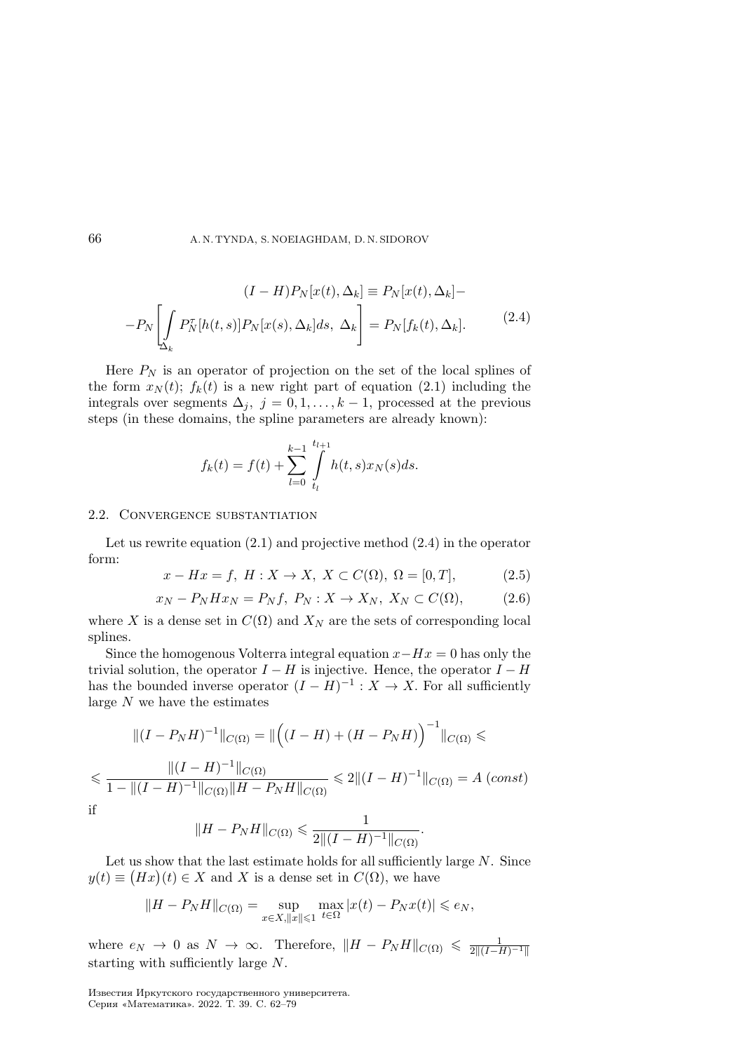$$
(I - H)P_N[x(t), \Delta_k] \equiv P_N[x(t), \Delta_k] -
$$

$$
-P_N \left[ \int_{\Delta_k} P_N^{\tau}[h(t, s)] P_N[x(s), \Delta_k] ds, \Delta_k \right] = P_N[f_k(t), \Delta_k]. \tag{2.4}
$$

Here  $P_N$  is an operator of projection on the set of the local splines of the form  $x_N(t)$ ;  $f_k(t)$  is a new right part of equation (2.1) including the integrals over segments  $\Delta_j$ ,  $j = 0, 1, \ldots, k - 1$ , processed at the previous steps (in these domains, the spline parameters are already known):

$$
f_k(t) = f(t) + \sum_{l=0}^{k-1} \int_{t_l}^{t_{l+1}} h(t,s)x_N(s)ds.
$$

#### 2.2. Convergence substantiation

Let us rewrite equation (2.1) and projective method (2.4) in the operator form:

$$
x - Hx = f
$$
,  $H: X \to X$ ,  $X \subset C(\Omega)$ ,  $\Omega = [0, T]$ , (2.5)

$$
x_N - P_N H x_N = P_N f, P_N : X \to X_N, X_N \subset C(\Omega), \tag{2.6}
$$

where X is a dense set in  $C(\Omega)$  and  $X_N$  are the sets of corresponding local splines.

Since the homogenous Volterra integral equation  $x - Hx = 0$  has only the trivial solution, the operator  $I - H$  is injective. Hence, the operator  $I - H$ has the bounded inverse operator  $(I - H)^{-1} : X \to X$ . For all sufficiently large  $N$  we have the estimates

$$
\|(I - P_N H)^{-1}\|_{C(\Omega)} = \|\left((I - H) + (H - P_N H)\right)^{-1}\|_{C(\Omega)} \le
$$
  

$$
\le \frac{\|(I - H)^{-1}\|_{C(\Omega)}}{1 - \|(I - H)^{-1}\|_{C(\Omega)}\|H - P_N H\|_{C(\Omega)}} \le 2\|(I - H)^{-1}\|_{C(\Omega)} = A \text{ (const)}
$$
  
if  

$$
\|H - P_N H\|_{C(\Omega)} \le \frac{1}{2\|(I - H)^{-1}\|_{C(\Omega)}}.
$$

$$
\quad \text{if} \quad
$$

$$
||H - P_N H||_{C(\Omega)} \leq \frac{1}{2|| (I - H)^{-1} ||_{C(\Omega)}}
$$

Let us show that the last estimate holds for all sufficiently large  $N$ . Since  $y(t) \equiv (Hx)(t) \in X$  and X is a dense set in  $C(\Omega)$ , we have

$$
||H - P_N H||_{C(\Omega)} = \sup_{x \in X, ||x|| \leq 1} \max_{t \in \Omega} |x(t) - P_N x(t)| \leq e_N,
$$

where  $e_N \to 0$  as  $N \to \infty$ . Therefore,  $\|H - P_N H\|_{C(\Omega)} \leq \frac{1}{2\|(I-H)^{-1}\|}$ starting with sufficiently large  $N$ .

Известия Иркутского государственного университета. Серия «Математика». 2022. Т. 39. С. 62–79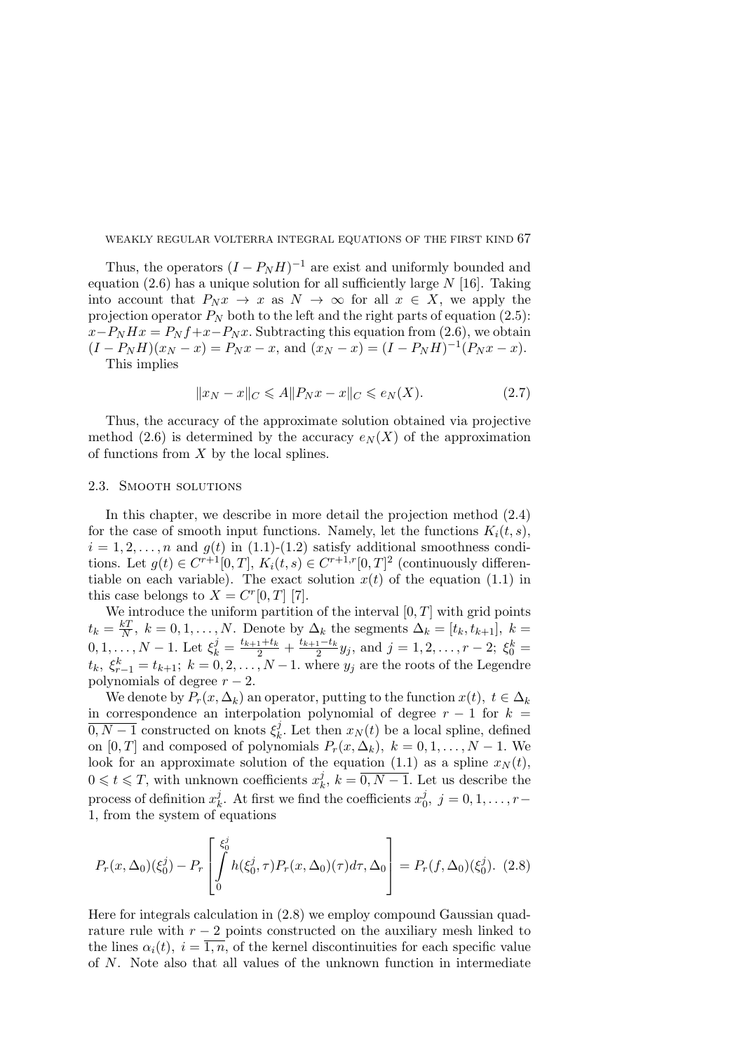Thus, the operators  $(I - P_N H)^{-1}$  are exist and uniformly bounded and equation (2.6) has a unique solution for all sufficiently large  $N$  [16]. Taking into account that  $P_N x \to x$  as  $N \to \infty$  for all  $x \in X$ , we apply the projection operator  $P_N$  both to the left and the right parts of equation (2.5):  $x-P_N H x = P_N f + x-P_N x$ . Subtracting this equation from (2.6), we obtain  $(I - P_N H)(x_N - x) = P_N x - x$ , and  $(x_N - x) = (I - P_N H)^{-1} (P_N x - x)$ .

This implies

$$
||x_N - x||_C \leqslant A||P_N x - x||_C \leqslant e_N(X). \tag{2.7}
$$

Thus, the accuracy of the approximate solution obtained via projective method (2.6) is determined by the accuracy  $e_N(X)$  of the approximation of functions from  $X$  by the local splines.

#### 2.3. Smooth solutions

In this chapter, we describe in more detail the projection method (2.4) for the case of smooth input functions. Namely, let the functions  $K_i(t, s)$ ,  $i = 1, 2, \ldots, n$  and  $g(t)$  in (1.1)-(1.2) satisfy additional smoothness conditions. Let  $g(t) \in C^{r+1}[0,T]$ ,  $K_i(t,s) \in C^{r+1,r}[0,T]^2$  (continuously differentiable on each variable). The exact solution  $x(t)$  of the equation (1.1) in this case belongs to  $X = C<sup>r</sup>[0, T]$  [7].

We introduce the uniform partition of the interval  $[0, T]$  with grid points  $t_k=\frac{kT}{N}$  $\frac{kT}{N}$ ,  $k = 0, 1, \ldots, N$ . Denote by  $\Delta_k$  the segments  $\Delta_k = [t_k, t_{k+1}], k =$  $0, 1, \ldots, N-1$ . Let  $\xi_k^j = \frac{t_{k+1}+t_k}{2} + \frac{t_{k+1}-t_k}{2}$  $\frac{1-t_k}{2}y_j$ , and  $j = 1, 2, \ldots, r-2$ ;  $\xi_0^k =$  $t_k, \xi_{r-1}^k = t_{k+1}; k = 0, 2, ..., N-1$ . where  $y_j$  are the roots of the Legendre polynomials of degree  $r - 2$ .

We denote by  $P_r(x, \Delta_k)$  an operator, putting to the function  $x(t), t \in \Delta_k$ in correspondence an interpolation polynomial of degree  $r - 1$  for  $k =$  $\overline{0, N-1}$  constructed on knots  $\xi_k^j$  $\mathcal{L}_k^j$ . Let then  $x_N(t)$  be a local spline, defined on  $[0, T]$  and composed of polynomials  $P_r(x, \Delta_k), k = 0, 1, ..., N - 1$ . We look for an approximate solution of the equation (1.1) as a spline  $x_N(t)$ ,  $0 \leqslant t \leqslant T$ , with unknown coefficients  $x_k^j$  $\lambda_k^j, k = 0, N - 1.$  Let us describe the process of definition  $x_k^j$  $\mu_k^j$ . At first we find the coefficients  $x_0^j$  $j_0^j, j=0,1,\ldots,r-$ 1, from the system of equations

$$
P_r(x,\Delta_0)(\xi_0^j) - P_r \left[ \int_0^{\xi_0^j} h(\xi_0^j,\tau) P_r(x,\Delta_0)(\tau) d\tau, \Delta_0 \right] = P_r(f,\Delta_0)(\xi_0^j). \tag{2.8}
$$

Here for integrals calculation in (2.8) we employ compound Gaussian quadrature rule with  $r - 2$  points constructed on the auxiliary mesh linked to the lines  $\alpha_i(t), i = \overline{1, n}$ , of the kernel discontinuities for each specific value of  $N$ . Note also that all values of the unknown function in intermediate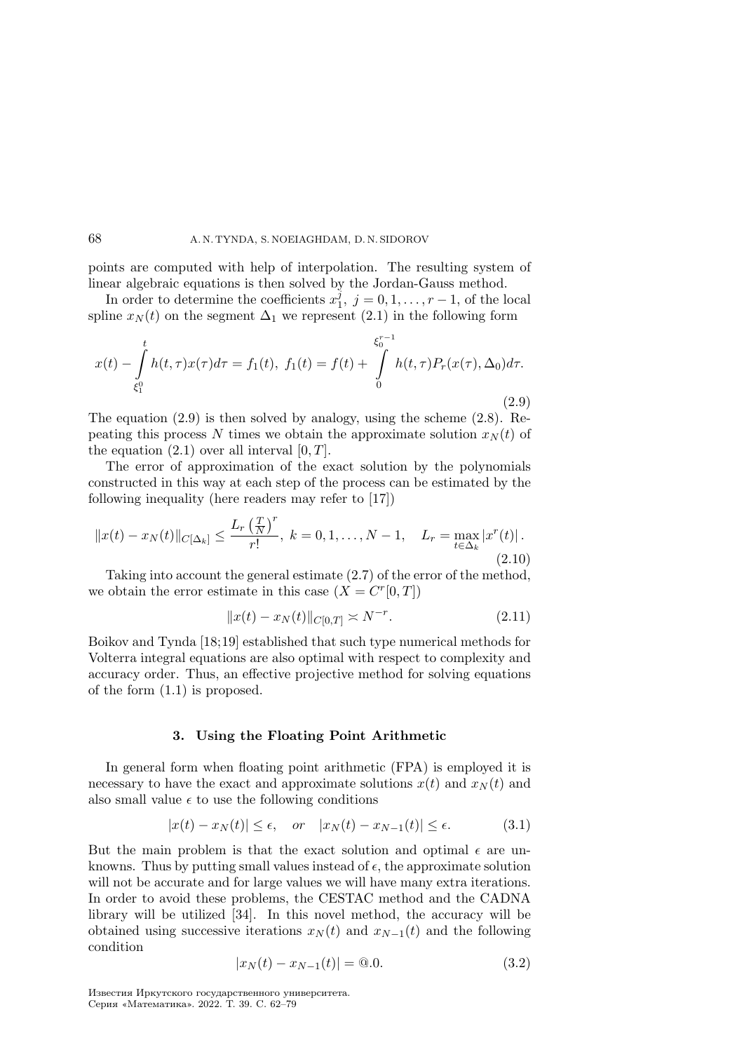points are computed with help of interpolation. The resulting system of linear algebraic equations is then solved by the Jordan-Gauss method.

In order to determine the coefficients  $x_1^{\tilde{j}}$  $j_1^j, j = 0, 1, \ldots, r - 1$ , of the local spline  $x_N(t)$  on the segment  $\Delta_1$  we represent (2.1) in the following form

$$
x(t) - \int_{\xi_1^0}^t h(t,\tau)x(\tau)d\tau = f_1(t), \ f_1(t) = f(t) + \int_0^{\xi_0^{\tau-1}} h(t,\tau)P_r(x(\tau),\Delta_0)d\tau.
$$
\n(2.9)

The equation (2.9) is then solved by analogy, using the scheme (2.8). Repeating this process N times we obtain the approximate solution  $x_N(t)$  of the equation  $(2.1)$  over all interval  $[0, T]$ .

The error of approximation of the exact solution by the polynomials constructed in this way at each step of the process can be estimated by the following inequality (here readers may refer to [17])

$$
||x(t) - x_N(t)||_{C[\Delta_k]} \le \frac{L_r \left(\frac{T}{N}\right)^r}{r!}, \ k = 0, 1, \dots, N - 1, \quad L_r = \max_{t \in \Delta_k} |x^r(t)|.
$$
\n(2.10)

Taking into account the general estimate (2.7) of the error of the method, we obtain the error estimate in this case  $(X = C<sup>r</sup>[0,T])$ 

$$
||x(t) - x_N(t)||_{C[0,T]} \asymp N^{-r}.
$$
\n(2.11)

Boikov and Tynda [18;19] established that such type numerical methods for Volterra integral equations are also optimal with respect to complexity and accuracy order. Thus, an effective projective method for solving equations of the form (1.1) is proposed.

#### 3. Using the Floating Point Arithmetic

In general form when floating point arithmetic (FPA) is employed it is necessary to have the exact and approximate solutions  $x(t)$  and  $x<sub>N</sub>(t)$  and also small value  $\epsilon$  to use the following conditions

$$
|x(t) - x_N(t)| \le \epsilon, \quad or \quad |x_N(t) - x_{N-1}(t)| \le \epsilon. \tag{3.1}
$$

But the main problem is that the exact solution and optimal  $\epsilon$  are unknowns. Thus by putting small values instead of  $\epsilon$ , the approximate solution will not be accurate and for large values we will have many extra iterations. In order to avoid these problems, the CESTAC method and the CADNA library will be utilized [34]. In this novel method, the accuracy will be obtained using successive iterations  $x_N(t)$  and  $x_{N-1}(t)$  and the following condition

$$
|x_N(t) - x_{N-1}(t)| = 0.0.
$$
\n(3.2)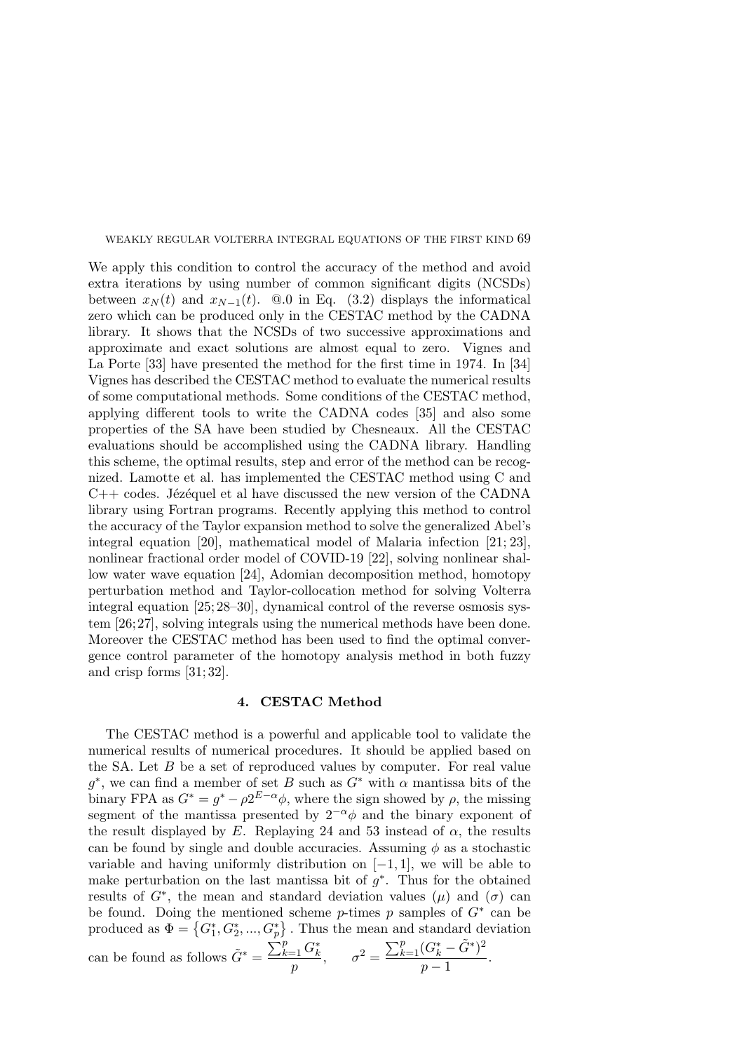We apply this condition to control the accuracy of the method and avoid extra iterations by using number of common significant digits (NCSDs) between  $x_N(t)$  and  $x_{N-1}(t)$ . @.0 in Eq. (3.2) displays the informatical zero which can be produced only in the CESTAC method by the CADNA library. It shows that the NCSDs of two successive approximations and approximate and exact solutions are almost equal to zero. Vignes and La Porte [33] have presented the method for the first time in 1974. In [34] Vignes has described the CESTAC method to evaluate the numerical results of some computational methods. Some conditions of the CESTAC method, applying different tools to write the CADNA codes [35] and also some properties of the SA have been studied by Chesneaux. All the CESTAC evaluations should be accomplished using the CADNA library. Handling this scheme, the optimal results, step and error of the method can be recognized. Lamotte et al. has implemented the CESTAC method using C and  $C++$  codes. Jézéquel et al have discussed the new version of the CADNA library using Fortran programs. Recently applying this method to control the accuracy of the Taylor expansion method to solve the generalized Abel's integral equation [20], mathematical model of Malaria infection [21; 23], nonlinear fractional order model of COVID-19 [22], solving nonlinear shallow water wave equation [24], Adomian decomposition method, homotopy perturbation method and Taylor-collocation method for solving Volterra integral equation [25; 28–30], dynamical control of the reverse osmosis system [26;27], solving integrals using the numerical methods have been done. Moreover the CESTAC method has been used to find the optimal convergence control parameter of the homotopy analysis method in both fuzzy and crisp forms [31; 32].

### 4. CESTAC Method

The CESTAC method is a powerful and applicable tool to validate the numerical results of numerical procedures. It should be applied based on the SA. Let  $B$  be a set of reproduced values by computer. For real value  $g^*$ , we can find a member of set B such as  $G^*$  with  $\alpha$  mantissa bits of the binary FPA as  $G^* = g^* - \rho 2^{E-\alpha} \phi$ , where the sign showed by  $\rho$ , the missing segment of the mantissa presented by  $2^{-\alpha}\phi$  and the binary exponent of the result displayed by E. Replaying 24 and 53 instead of  $\alpha$ , the results can be found by single and double accuracies. Assuming  $\phi$  as a stochastic variable and having uniformly distribution on  $[-1, 1]$ , we will be able to make perturbation on the last mantissa bit of  $g^*$ . Thus for the obtained results of  $G^*$ , the mean and standard deviation values  $(\mu)$  and  $(\sigma)$  can be found. Doing the mentioned scheme  $p$ -times  $p$  samples of  $G^*$  can be produced as  $\Phi = \{G_1^*, G_2^*, ..., G_p^*\}$ . Thus the mean and standard deviation

can be found as follows 
$$
\tilde{G}^* = \frac{\sum_{k=1}^p G_k^*}{p}, \qquad \sigma^2 = \frac{\sum_{k=1}^p (G_k^* - \tilde{G}^*)^2}{p-1}.
$$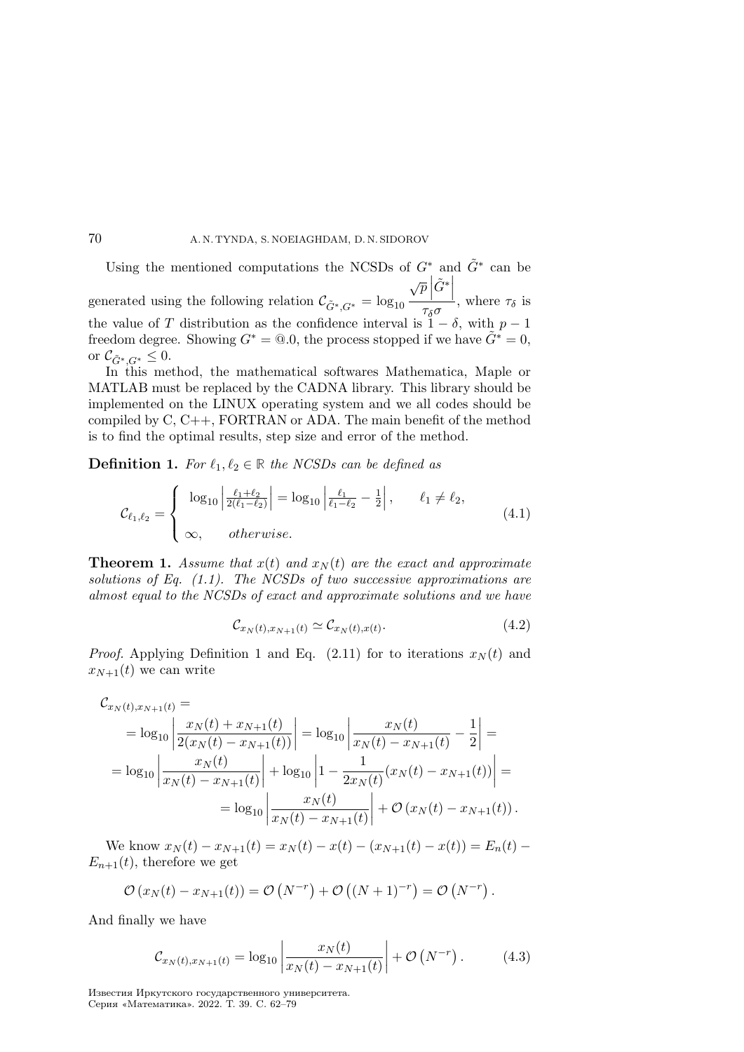Using the mentioned computations the NCSDs of  $G^*$  and  $\tilde{G}^*$  can be generated using the following relation  $\mathcal{C}_{\tilde{G}^*, G^*} = \log_{10}$  $\sqrt{p}$  $\tilde{G}^*$  $\frac{1}{\tau_{\delta}\sigma}$ , where  $\tau_{\delta}$  is the value of T distribution as the confidence interval is  $1 - \delta$ , with  $p - 1$ freedom degree. Showing  $G^* = \mathcal{Q}\_0$ , the process stopped if we have  $G^* = 0$ , or  $\mathcal{C}_{\tilde{G}^*/G^*} \leq 0.$ 

In this method, the mathematical softwares Mathematica, Maple or MATLAB must be replaced by the CADNA library. This library should be implemented on the LINUX operating system and we all codes should be compiled by C, C++, FORTRAN or ADA. The main benefit of the method is to find the optimal results, step size and error of the method.

**Definition 1.** For  $\ell_1, \ell_2 \in \mathbb{R}$  the NCSDs can be defined as

$$
\mathcal{C}_{\ell_1,\ell_2} = \begin{cases}\n\log_{10} \left| \frac{\ell_1 + \ell_2}{2(\ell_1 - \ell_2)} \right| = \log_{10} \left| \frac{\ell_1}{\ell_1 - \ell_2} - \frac{1}{2} \right|, & \ell_1 \neq \ell_2, \\
\infty, & otherwise.\n\end{cases} (4.1)
$$

**Theorem 1.** Assume that  $x(t)$  and  $x_N(t)$  are the exact and approximate solutions of Eq.  $(1.1)$ . The NCSDs of two successive approximations are almost equal to the NCSDs of exact and approximate solutions and we have

$$
\mathcal{C}_{x_N(t), x_{N+1}(t)} \simeq \mathcal{C}_{x_N(t), x(t)}.\tag{4.2}
$$

*Proof.* Applying Definition 1 and Eq. (2.11) for to iterations  $x_N(t)$  and  $x_{N+1}(t)$  we can write

$$
\mathcal{C}_{x_N(t),x_{N+1}(t)} =
$$
\n
$$
= \log_{10} \left| \frac{x_N(t) + x_{N+1}(t)}{2(x_N(t) - x_{N+1}(t))} \right| = \log_{10} \left| \frac{x_N(t)}{x_N(t) - x_{N+1}(t)} - \frac{1}{2} \right| =
$$
\n
$$
= \log_{10} \left| \frac{x_N(t)}{x_N(t) - x_{N+1}(t)} \right| + \log_{10} \left| 1 - \frac{1}{2x_N(t)} (x_N(t) - x_{N+1}(t)) \right| =
$$
\n
$$
= \log_{10} \left| \frac{x_N(t)}{x_N(t) - x_{N+1}(t)} \right| + \mathcal{O} (x_N(t) - x_{N+1}(t)).
$$

We know  $x_N(t) - x_{N+1}(t) = x_N(t) - x(t) - (x_{N+1}(t) - x(t)) = E_n(t)$  $E_{n+1}(t)$ , therefore we get

$$
\mathcal{O}(x_N(t) - x_{N+1}(t)) = \mathcal{O}(N^{-r}) + \mathcal{O}((N+1)^{-r}) = \mathcal{O}(N^{-r}).
$$

And finally we have

$$
\mathcal{C}_{x_N(t), x_{N+1}(t)} = \log_{10} \left| \frac{x_N(t)}{x_N(t) - x_{N+1}(t)} \right| + \mathcal{O}\left(N^{-r}\right). \tag{4.3}
$$

Известия Иркутского государственного университета. Серия «Математика». 2022. Т. 39. С. 62–79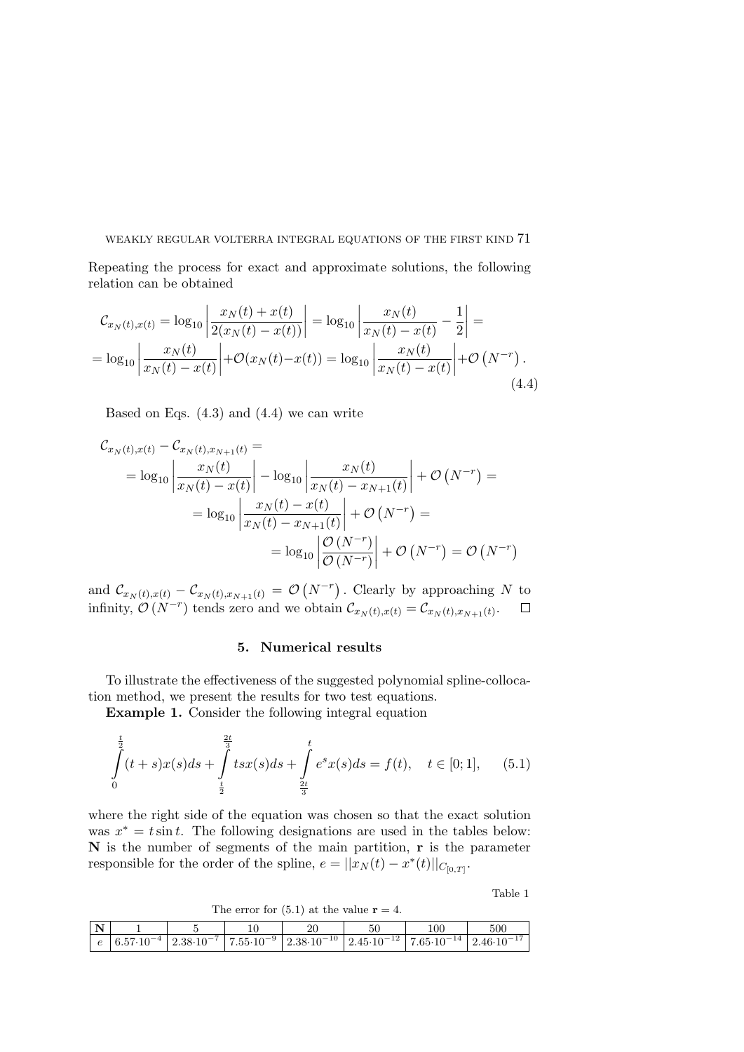Repeating the process for exact and approximate solutions, the following relation can be obtained

$$
\mathcal{C}_{x_N(t),x(t)} = \log_{10} \left| \frac{x_N(t) + x(t)}{2(x_N(t) - x(t))} \right| = \log_{10} \left| \frac{x_N(t)}{x_N(t) - x(t)} - \frac{1}{2} \right| = \\ = \log_{10} \left| \frac{x_N(t)}{x_N(t) - x(t)} \right| + \mathcal{O}(x_N(t) - x(t)) = \log_{10} \left| \frac{x_N(t)}{x_N(t) - x(t)} \right| + \mathcal{O}(N^{-r}). \tag{4.4}
$$

Based on Eqs.  $(4.3)$  and  $(4.4)$  we can write

$$
\mathcal{C}_{x_N(t),x(t)} - \mathcal{C}_{x_N(t),x_{N+1}(t)} =
$$
\n
$$
= \log_{10} \left| \frac{x_N(t)}{x_N(t) - x(t)} \right| - \log_{10} \left| \frac{x_N(t)}{x_N(t) - x_{N+1}(t)} \right| + \mathcal{O}(N^{-r}) =
$$
\n
$$
= \log_{10} \left| \frac{x_N(t) - x(t)}{x_N(t) - x_{N+1}(t)} \right| + \mathcal{O}(N^{-r}) =
$$
\n
$$
= \log_{10} \left| \frac{\mathcal{O}(N^{-r})}{\mathcal{O}(N^{-r})} \right| + \mathcal{O}(N^{-r}) = \mathcal{O}(N^{-r})
$$

and  $\mathcal{C}_{x_N(t),x(t)} - \mathcal{C}_{x_N(t),x_{N+1}(t)} = \mathcal{O}(N^{-r})$ . Clearly by approaching N to infinity,  $\mathcal{O}(N^{-r})$  tends zero and we obtain  $\mathcal{C}_{x_N(t),x(t)} = \mathcal{C}_{x_N(t),x_{N+1}(t)}$ .

### 5. Numerical results

To illustrate the effectiveness of the suggested polynomial spline-collocation method, we present the results for two test equations.

Example 1. Consider the following integral equation

$$
\int_{0}^{\frac{t}{2}} (t+s)x(s)ds + \int_{\frac{t}{2}}^{\frac{2t}{3}} tsx(s)ds + \int_{\frac{2t}{3}}^{t} e^s x(s)ds = f(t), \quad t \in [0; 1], \quad (5.1)
$$

where the right side of the equation was chosen so that the exact solution was  $x^* = t \sin t$ . The following designations are used in the tables below:  $N$  is the number of segments of the main partition,  $r$  is the parameter responsible for the order of the spline,  $e = ||x_N(t) - x^*(t)||_{C_{[0,T]}}$ .

Table 1

The error for  $(5.1)$  at the value  $r = 4$ .

| N |      |                      |                      | 20                      | 50                     | 100                   | 500                 |
|---|------|----------------------|----------------------|-------------------------|------------------------|-----------------------|---------------------|
| ັ | 6.5. | $2.38 \cdot 10^{-7}$ | $7.55 \cdot 10^{-9}$ | $ 2.38 \cdot 10^{-10} $ | $12.45 \cdot 10^{-12}$ | $7.65 \cdot 10^{-14}$ | $\angle 46.10^{-1}$ |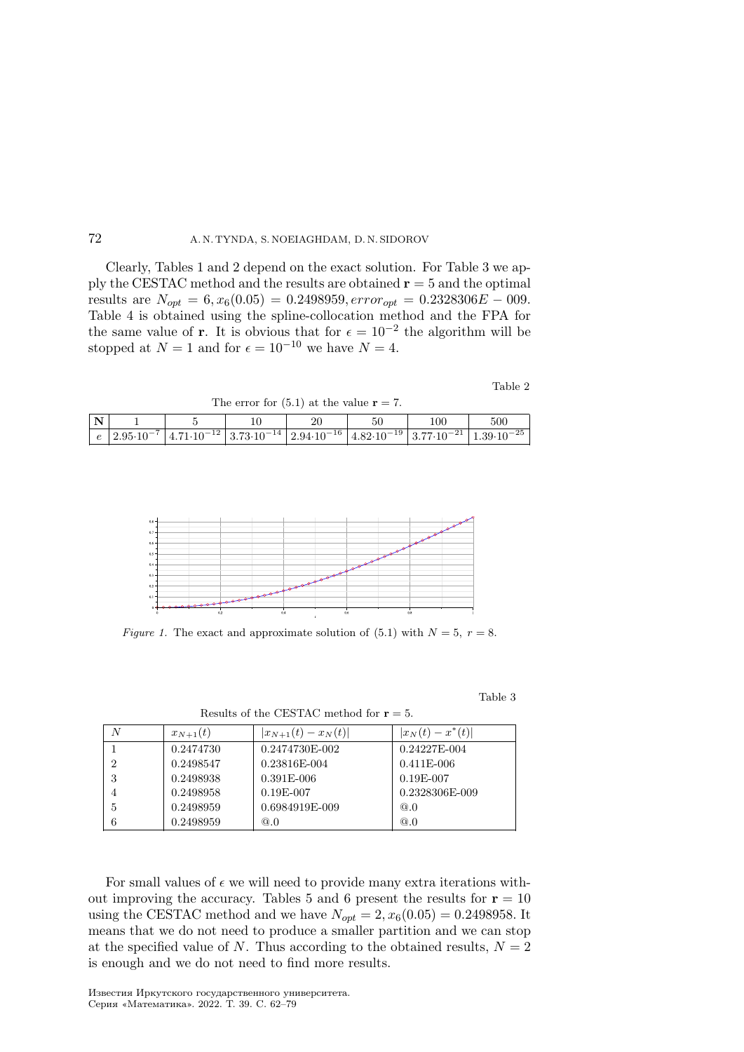Clearly, Tables 1 and 2 depend on the exact solution. For Table 3 we apply the CESTAC method and the results are obtained  $r = 5$  and the optimal results are  $N_{opt} = 6$ ,  $x_6(0.05) = 0.2498959$ ,  $error_{opt} = 0.2328306E - 009$ . Table 4 is obtained using the spline-collocation method and the FPA for the same value of **r**. It is obvious that for  $\epsilon = 10^{-2}$  the algorithm will be stopped at  $N = 1$  and for  $\epsilon = 10^{-10}$  we have  $N = 4$ .

Table 2

| $\overline{\mathbf{N}}$ |                    |  | 20 | ЭU                                                                                                            | 100 | 500                   |
|-------------------------|--------------------|--|----|---------------------------------------------------------------------------------------------------------------|-----|-----------------------|
| $\epsilon$              | $2.95\cdot10^{-7}$ |  |    | $4.71 \cdot 10^{-12}$ 3.73 $\cdot 10^{-14}$ 2.94 $\cdot 10^{-16}$ 4.82 $\cdot 10^{-19}$ 3.77 $\cdot 10^{-21}$ |     | $1.39 \cdot 10^{-25}$ |

The error for  $(5.1)$  at the value  $r = 7$ .



Figure 1. The exact and approximate solution of (5.1) with  $N = 5$ ,  $r = 8$ .

Table 3

| N              | $x_{N+1}(t)$ | $ x_{N+1}(t)-x_N(t) $ | $ x_N(t)-x^*(t) $ |
|----------------|--------------|-----------------------|-------------------|
|                | 0.2474730    | 0.2474730E-002        | $0.24227E-004$    |
| $\overline{2}$ | 0.2498547    | 0.23816E-004          | $0.411E - 006$    |
|                | 0.2498938    | $0.391E - 006$        | $0.19E - 007$     |
|                | 0.2498958    | $0.19E - 007$         | 0.2328306E-009    |
|                | 0.2498959    | 0.6984919E-009        | @.0               |
|                | 0.2498959    | @.0                   | @.0               |

Results of the CESTAC method for  $r = 5$ .

For small values of  $\epsilon$  we will need to provide many extra iterations without improving the accuracy. Tables 5 and 6 present the results for  $r = 10$ using the CESTAC method and we have  $N_{opt} = 2, x_6(0.05) = 0.2498958$ . It means that we do not need to produce a smaller partition and we can stop at the specified value of N. Thus according to the obtained results,  $N = 2$ is enough and we do not need to find more results.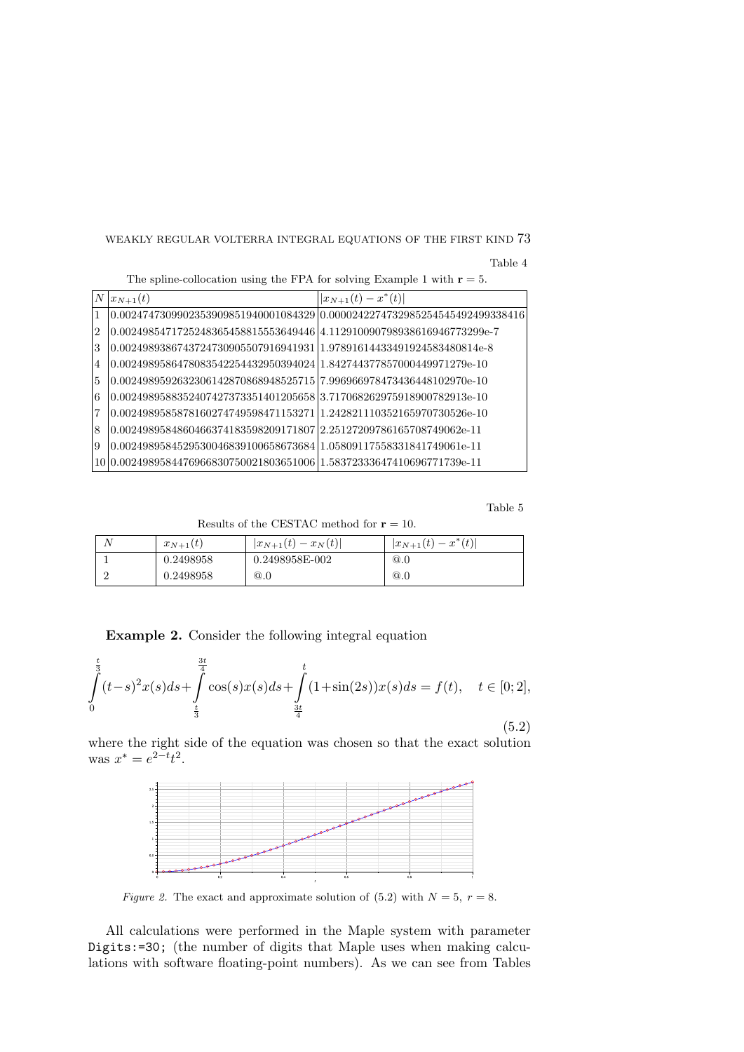Table 4

| $\boldsymbol{N}$ | $ x_{N+1}(t) $                                                                | $ x_{N+1}(t)-x^*(t) $                                                         |
|------------------|-------------------------------------------------------------------------------|-------------------------------------------------------------------------------|
|                  |                                                                               | $(0.0024747309902353909851940001084329)0.0000242274732985254545492499338416)$ |
| 2                | $(0.0024985471725248365458815553649446 \mid 4.112910090798938616946773299e-7$ |                                                                               |
| 3                | 0.0024989386743724730905507916941931 1.97891614433491924583480814e-8          |                                                                               |
| 4                | $0.002498958647808354225443295039402411.842744377857000449971279e-10$         |                                                                               |
| 5                | $(0.0024989592632306142870868948525715796966978473436448102970e-10$           |                                                                               |
| 6                | 0.0024989588352407427373351401205658 3.717068262975918900782913e-10           |                                                                               |
| 7                | $(0.0024989585878160274749598471153271)1.242821110352165970730526e-10$        |                                                                               |
| 8                | $(0.0024989584860466374183598209171807)2.25127209786165708749062e-11$         |                                                                               |
| 9                | $0.0024989584529530046839100658673684 1.05809117558331841749061e-11$          |                                                                               |
| 10               | $(0.0024989584476966830750021803651006 1.58372333647410696771739e-11)$        |                                                                               |

The spline-collocation using the FPA for solving Example 1 with  $r = 5$ .

Table 5

Results of the CESTAC method for  $r = 10$ .

| $x_{N+1}(t)$ | $ x_{N+1}(t)-x_N(t) $ | $ x_{N+1}(t)-x^*(t) $ |
|--------------|-----------------------|-----------------------|
| 0.2498958    | 0.2498958E-002        | @.0                   |
| 0.2498958    | @.0                   | @.0                   |

Example 2. Consider the following integral equation

$$
\int_{0}^{\frac{t}{3}} (t-s)^2 x(s) ds + \int_{\frac{t}{3}}^{\frac{3t}{4}} \cos(s) x(s) ds + \int_{\frac{3t}{4}}^t (1+\sin(2s)) x(s) ds = f(t), \quad t \in [0; 2],
$$
\n(5.2)

where the right side of the equation was chosen so that the exact solution was  $x^* = e^{2-t}t^2$ .



Figure 2. The exact and approximate solution of (5.2) with  $N = 5$ ,  $r = 8$ .

All calculations were performed in the Maple system with parameter Digits:=30; (the number of digits that Maple uses when making calculations with software floating-point numbers). As we can see from Tables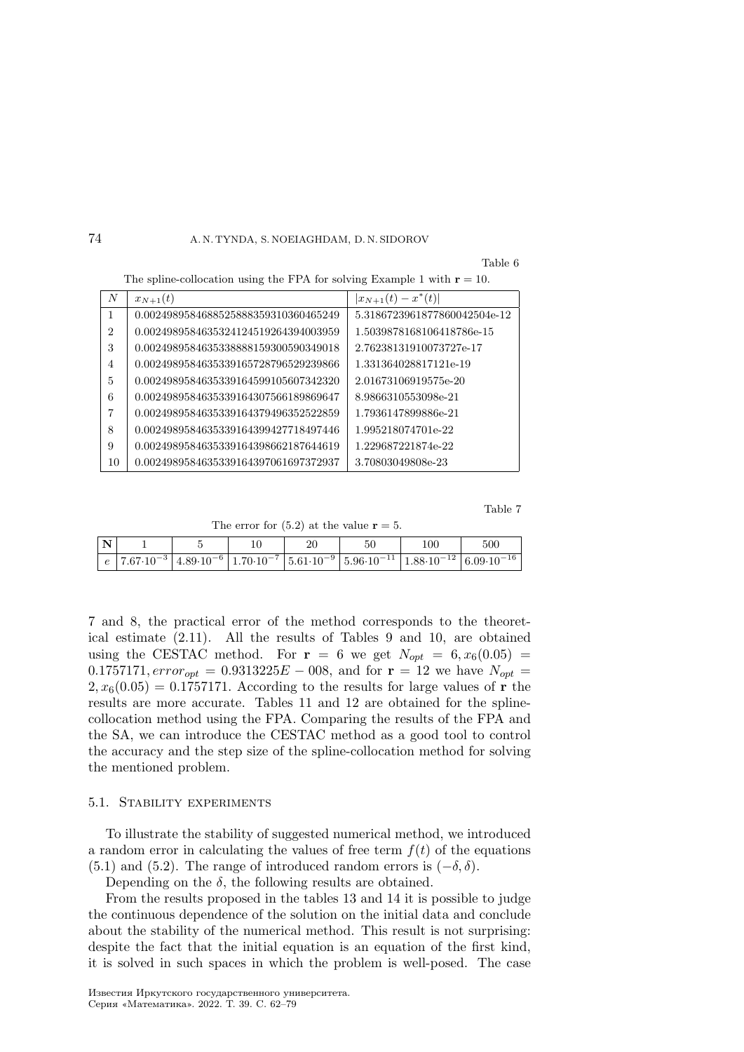Table 6

The spline-collocation using the FPA for solving Example 1 with  $r = 10$ .

| $\boldsymbol{N}$ | $x_{N+1}(t)$                         | $ x_{N+1}(t)-x^*(t) $        |
|------------------|--------------------------------------|------------------------------|
|                  | 0.0024989584688525888359310360465249 | 5.3186723961877860042504e-12 |
| 2                | 0.0024989584635324124519264394003959 | 1.5039878168106418786e-15    |
| 3                | 0.0024989584635338888159300590349018 | 2.76238131910073727e-17      |
| 4                | 0.0024989584635339165728796529239866 | 1.331364028817121e-19        |
| 5                | 0.0024989584635339164599105607342320 | 2.01673106919575e-20         |
| 6                | 0.0024989584635339164307566189869647 | 8.9866310553098e-21          |
| 7                | 0.0024989584635339164379496352522859 | 1.7936147899886e-21          |
| 8                | 0.0024989584635339164399427718497446 | 1.995218074701e-22           |
| 9                | 0.0024989584635339164398662187644619 | 1.229687221874e-22           |
| 10               | 0.0024989584635339164397061697372937 | 3.70803049808e-23            |

Table 7

| The error for $(5.2)$ at the value $r = 5$ . |  |  |  |  |  |  |  |  |  |
|----------------------------------------------|--|--|--|--|--|--|--|--|--|
|----------------------------------------------|--|--|--|--|--|--|--|--|--|

| $\mathbf N$ |  |  | 50                                                                                                                                                                                               | 100 | 500 |
|-------------|--|--|--------------------------------------------------------------------------------------------------------------------------------------------------------------------------------------------------|-----|-----|
| $\epsilon$  |  |  | $\left[7.67 \cdot 10^{-3}\right]$ $4.89 \cdot 10^{-6}\left[1.70 \cdot 10^{-7}\right]$ $5.61 \cdot 10^{-9}\left[5.96 \cdot 10^{-11}\right]$ $1.88 \cdot 10^{-12}\left[6.09 \cdot 10^{-16}\right]$ |     |     |

7 and 8, the practical error of the method corresponds to the theoretical estimate (2.11). All the results of Tables 9 and 10, are obtained using the CESTAC method. For  $\mathbf{r} = 6$  we get  $N_{opt} = 6, x_6(0.05) =$  $0.1757171$ ,  $error_{opt} = 0.9313225E - 0.08$ , and for  $\mathbf{r} = 12$  we have  $N_{opt} =$  $2, x_6(0.05) = 0.1757171$ . According to the results for large values of r the results are more accurate. Tables 11 and 12 are obtained for the splinecollocation method using the FPA. Comparing the results of the FPA and the SA, we can introduce the CESTAC method as a good tool to control the accuracy and the step size of the spline-collocation method for solving the mentioned problem.

#### 5.1. Stability experiments

To illustrate the stability of suggested numerical method, we introduced a random error in calculating the values of free term  $f(t)$  of the equations (5.1) and (5.2). The range of introduced random errors is  $(-\delta, \delta)$ .

Depending on the  $\delta$ , the following results are obtained.

From the results proposed in the tables 13 and 14 it is possible to judge the continuous dependence of the solution on the initial data and conclude about the stability of the numerical method. This result is not surprising: despite the fact that the initial equation is an equation of the first kind, it is solved in such spaces in which the problem is well-posed. The case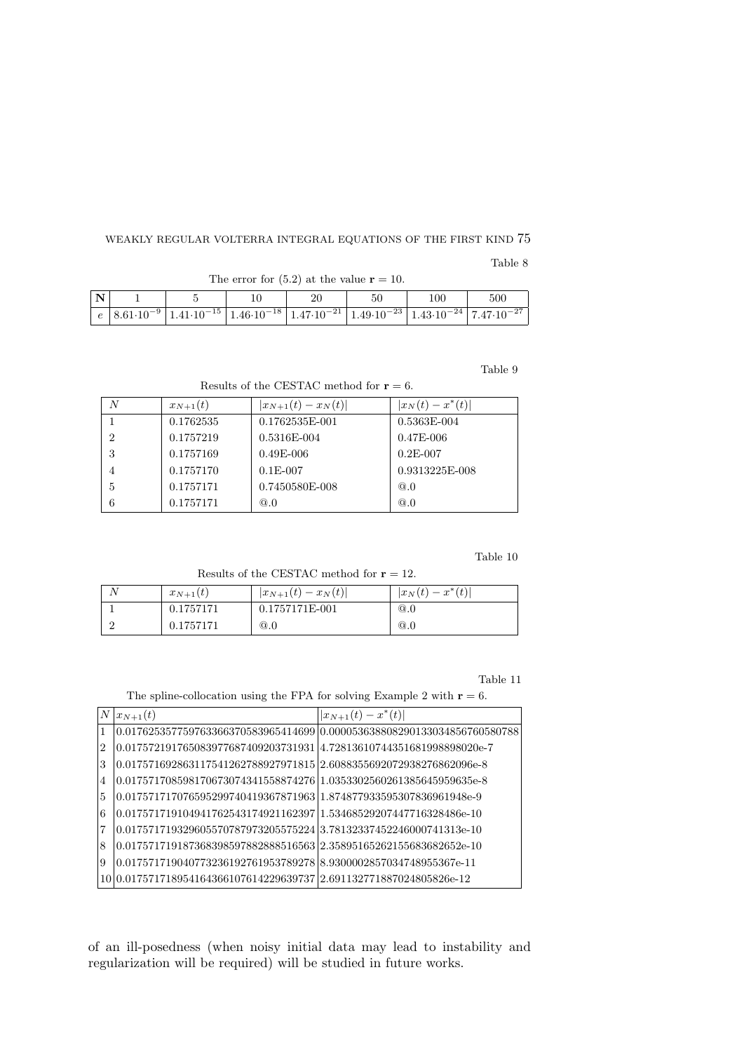Table 8

| $\overline{\mathbf{N}}$ |  |  | 100 | 500 |
|-------------------------|--|--|-----|-----|
|                         |  |  |     |     |

The error for  $(5.2)$  at the value  $r = 10$ .

Table 9

Results of the CESTAC method for  $r = 6$ .

| N | $x_{N+1}(t)$ | $ x_{N+1}(t)-x_N(t) $ | $ x_N(t)-x^*(t) $ |
|---|--------------|-----------------------|-------------------|
|   | 0.1762535    | 0.1762535E-001        | 0.5363E-004       |
| 2 | 0.1757219    | 0.5316E-004           | $0.47E - 006$     |
| 3 | 0.1757169    | $0.49E - 006$         | $0.2E - 007$      |
| 4 | 0.1757170    | $0.1E - 007$          | 0.9313225E-008    |
| 5 | 0.1757171    | 0.7450580E-008        | @.0               |
| 6 | 0.1757171    | @.0                   | @.0               |

Table 10

Results of the CESTAC method for  $r = 12$ .

| $x_{N+1}(t)$ | $ x_{N+1}(t)-x_N(t) $ | $ x_N(t)-x^*(t) $ |
|--------------|-----------------------|-------------------|
| 0.1757171    | 0.1757171E-001        | @.0               |
| 0.1757171    | @.0                   | @.0               |

Table 11

The spline-collocation using the FPA for solving Example 2 with  $r = 6$ .

| N              | $ x_{N+1}(t) $                                                                       | $ x_{N+1}(t)-x^*(t) $                                                       |
|----------------|--------------------------------------------------------------------------------------|-----------------------------------------------------------------------------|
| 1              |                                                                                      | $(0.017625357759763366370583965414699 0.000053638808290133034856760580788)$ |
| $\overline{2}$ | 0.017572191765083977687409203731931 4.72813610744351681998898020e-7                  |                                                                             |
| 3              | 0.017571692863117541262788927971815 2.6088355692072938276862096e-8                   |                                                                             |
| 4              | 0.017571708598170673074341558874276 1.0353302560261385645959635e-8                   |                                                                             |
| 5              | 0.017571717076595299740419367871963 1.874877933595307836961948e-9                    |                                                                             |
| 6              | $0.01757171910494176254317492116239711.53468529207447716328486e-10$                  |                                                                             |
| 7              | 0.017571719329605570787973205575224                   3.78132337452246000741313e-10  |                                                                             |
| 8              | $(0.017571719187368398597882888516563 2.35895165262155683682652e-10$                 |                                                                             |
| 9              | 0.01757171904077323619276195378927818.9300002857034748955367e-11                     |                                                                             |
|                | $\mid\!\! 0.017571718954164366107614229639737 \mid\!\! 2.691132771887024805826$ e-12 |                                                                             |

of an ill-posedness (when noisy initial data may lead to instability and regularization will be required) will be studied in future works.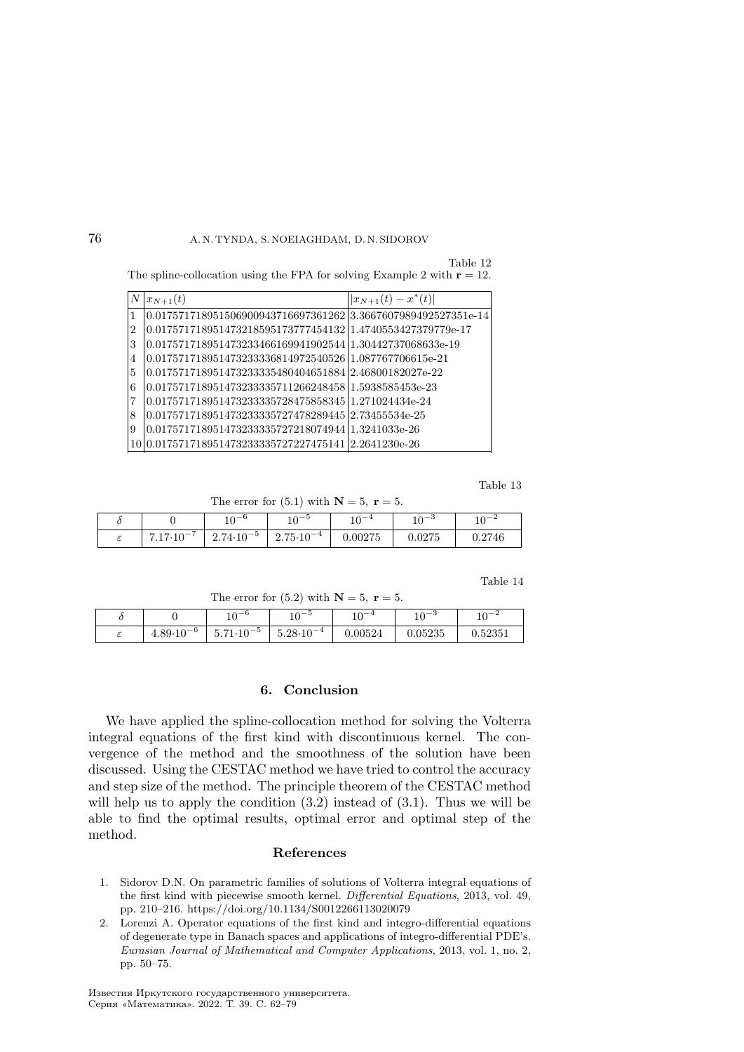Table 12 The spline-collocation using the FPA for solving Example 2 with  $r = 12$ .

| $\boldsymbol{N}$ | $x_{N+1}(t)$                                                    | $ x_{N+1}(t)-x^*(t) $ |
|------------------|-----------------------------------------------------------------|-----------------------|
| $\vert$ 1        | $0.017571718951506900943716697361262$ 3.3667607989492527351e-14 |                       |
| $ 2\rangle$      | 0.017571718951473218595173777454132 1.4740553427379779e-17      |                       |
| 3                | 0.017571718951473233466169941902544 1.30442737068633e-19        |                       |
| $\overline{4}$   | 0.017571718951473233336814972540526 1.087767706615e-21          |                       |
| 5                | 0.017571718951473233335480404651884 2.46800182027e-22           |                       |
| 6                | 0.017571718951473233335711266248458 1.5938585453e-23            |                       |
| 17               | 0.017571718951473233335728475858345 1.271024434e-24             |                       |
| 8                | 0.017571718951473233335727478289445 2.73455534e-25              |                       |
| -9               | 0.017571718951473233335727218074944 1.3241033e-26               |                       |
|                  | 10 0.017571718951473233335727227475141 2.2641230e-26            |                       |

Table 13

The error for  $(5.1)$  with  $N = 5$ ,  $r = 5$ .

|   |                            | $10 - 6$<br>⊥∪                      | $10 - 5$<br>ΙU        | $-40-4$<br>ΙV | $10 - 3$<br>ΙU  | $\sim -1$<br>ΙU |
|---|----------------------------|-------------------------------------|-----------------------|---------------|-----------------|-----------------|
| - | ⇁<br>$\sim$ $-$<br>⊥∪<br>. | ۰<br>$\sim -5$<br>2.74<br>$\cdot10$ | $10^{-4}$<br>$2.75-1$ | 0.00275       | 0.275<br>U.UZTƏ | 0.2746          |

Table 14

| The error for (5.2) with $N = 5$ , $r = 5$ . |  |  |  |  |  |
|----------------------------------------------|--|--|--|--|--|
|----------------------------------------------|--|--|--|--|--|

|   |                          | $\cap$ - $\Gamma$<br>⊥∪                        | $10-$<br>⊥∪                | $\sim -4$<br>⊥∪ | $10 - 3$<br>ΤÛ | $\sim$ $-$<br>⊥∪ |
|---|--------------------------|------------------------------------------------|----------------------------|-----------------|----------------|------------------|
| ◡ | $10^{-6}$<br>$4.89^{-1}$ | $10^{-5}$<br>$-1$<br>∽<br>.<br>U.I<br><b>T</b> | $\cap$ -4<br>$5.28-$<br>πU | 0.00524         | 0.05235        | 0.52351          |

#### 6. Conclusion

We have applied the spline-collocation method for solving the Volterra integral equations of the first kind with discontinuous kernel. The convergence of the method and the smoothness of the solution have been discussed. Using the CESTAC method we have tried to control the accuracy and step size of the method. The principle theorem of the CESTAC method will help us to apply the condition  $(3.2)$  instead of  $(3.1)$ . Thus we will be able to find the optimal results, optimal error and optimal step of the method.

### References

- 1. Sidorov D.N. On parametric families of solutions of Volterra integral equations of the first kind with piecewise smooth kernel. Differential Equations, 2013, vol. 49, pp. 210–216. https://doi.org/10.1134/S0012266113020079
- 2. Lorenzi A. Operator equations of the first kind and integro-differential equations of degenerate type in Banach spaces and applications of integro-differential PDE's. Eurasian Journal of Mathematical and Computer Applications, 2013, vol. 1, no. 2, pp. 50–75.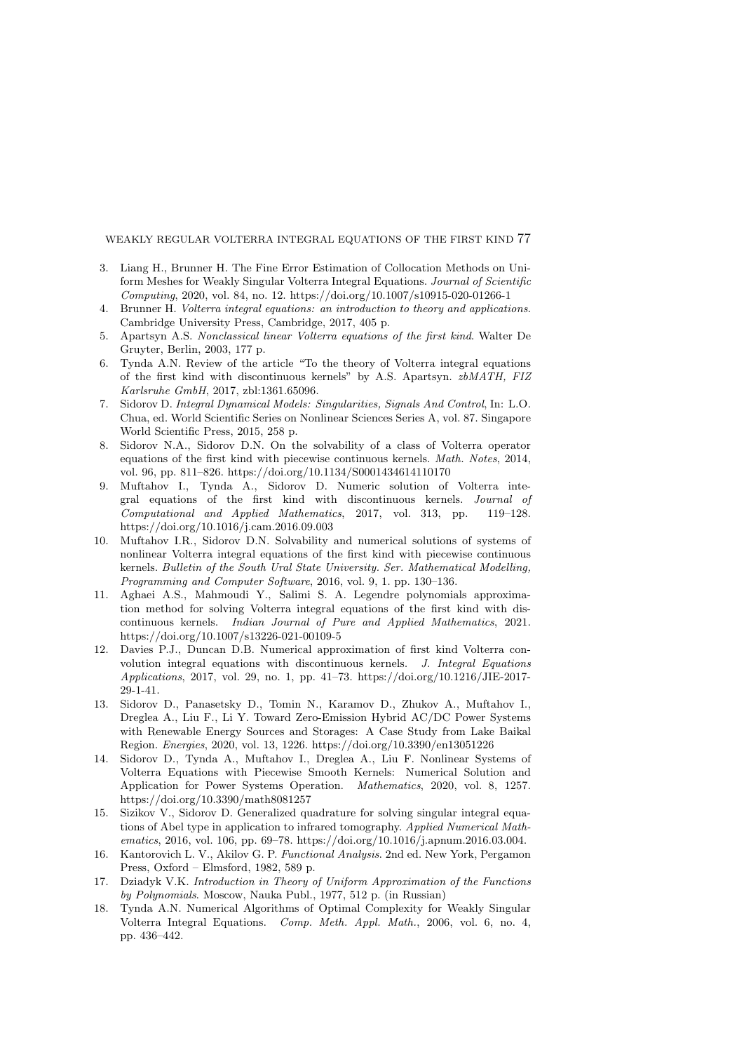- 3. Liang H., Brunner H. The Fine Error Estimation of Collocation Methods on Uniform Meshes for Weakly Singular Volterra Integral Equations. Journal of Scientific Computing, 2020, vol. 84, no. 12. https://doi.org/10.1007/s10915-020-01266-1
- 4. Brunner H. Volterra integral equations: an introduction to theory and applications. Cambridge University Press, Cambridge, 2017, 405 p.
- 5. Apartsyn A.S. Nonclassical linear Volterra equations of the first kind. Walter De Gruyter, Berlin, 2003, 177 p.
- 6. Tynda A.N. Review of the article "To the theory of Volterra integral equations of the first kind with discontinuous kernels" by A.S. Apartsyn. zbMATH, FIZ Karlsruhe GmbH, 2017, zbl:1361.65096.
- 7. Sidorov D. Integral Dynamical Models: Singularities, Signals And Control, In: L.O. Chua, ed. World Scientific Series on Nonlinear Sciences Series A, vol. 87. Singapore World Scientific Press, 2015, 258 p.
- 8. Sidorov N.A., Sidorov D.N. On the solvability of a class of Volterra operator equations of the first kind with piecewise continuous kernels. Math. Notes, 2014, vol. 96, pp. 811–826. https://doi.org/10.1134/S0001434614110170
- 9. Muftahov I., Tynda A., Sidorov D. Numeric solution of Volterra integral equations of the first kind with discontinuous kernels. Journal of Computational and Applied Mathematics, 2017, vol. 313, pp. 119–128. https://doi.org/10.1016/j.cam.2016.09.003
- 10. Muftahov I.R., Sidorov D.N. Solvability and numerical solutions of systems of nonlinear Volterra integral equations of the first kind with piecewise continuous kernels. Bulletin of the South Ural State University. Ser. Mathematical Modelling, Programming and Computer Software, 2016, vol. 9, 1. pp. 130–136.
- 11. Aghaei A.S., Mahmoudi Y., Salimi S. A. Legendre polynomials approximation method for solving Volterra integral equations of the first kind with discontinuous kernels. Indian Journal of Pure and Applied Mathematics, 2021. https://doi.org/10.1007/s13226-021-00109-5
- 12. Davies P.J., Duncan D.B. Numerical approximation of first kind Volterra convolution integral equations with discontinuous kernels. J. Integral Equations Applications, 2017, vol. 29, no. 1, pp. 41–73. https://doi.org/10.1216/JIE-2017- 29-1-41.
- 13. Sidorov D., Panasetsky D., Tomin N., Karamov D., Zhukov A., Muftahov I., Dreglea A., Liu F., Li Y. Toward Zero-Emission Hybrid AC/DC Power Systems with Renewable Energy Sources and Storages: A Case Study from Lake Baikal Region. Energies, 2020, vol. 13, 1226. https://doi.org/10.3390/en13051226
- 14. Sidorov D., Tynda A., Muftahov I., Dreglea A., Liu F. Nonlinear Systems of Volterra Equations with Piecewise Smooth Kernels: Numerical Solution and Application for Power Systems Operation. Mathematics, 2020, vol. 8, 1257. https://doi.org/10.3390/math8081257
- 15. Sizikov V., Sidorov D. Generalized quadrature for solving singular integral equations of Abel type in application to infrared tomography. Applied Numerical Mathematics, 2016, vol. 106, pp. 69–78. https://doi.org/10.1016/j.apnum.2016.03.004.
- 16. Kantorovich L. V., Akilov G. P. Functional Analysis. 2nd ed. New York, Pergamon Press, Oxford – Elmsford, 1982, 589 p.
- 17. Dziadyk V.K. Introduction in Theory of Uniform Approximation of the Functions by Polynomials. Moscow, Nauka Publ., 1977, 512 p. (in Russian)
- 18. Tynda A.N. Numerical Algorithms of Optimal Complexity for Weakly Singular Volterra Integral Equations. Comp. Meth. Appl. Math., 2006, vol. 6, no. 4, pp. 436–442.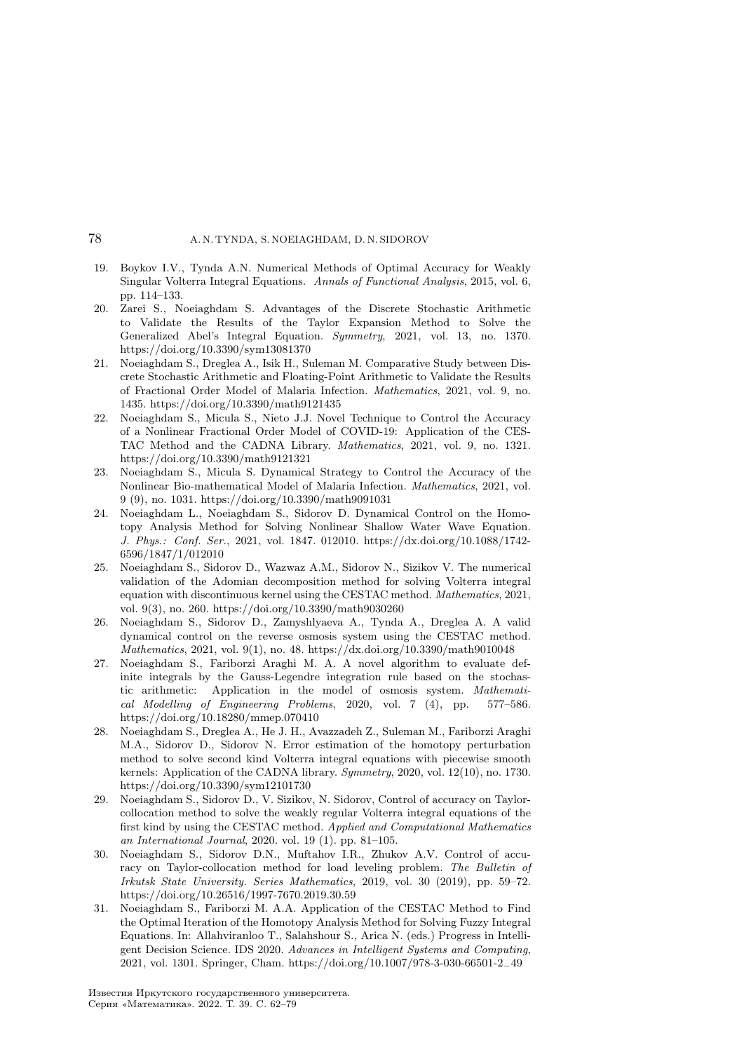- 19. Boykov I.V., Tynda A.N. Numerical Methods of Optimal Accuracy for Weakly Singular Volterra Integral Equations. Annals of Functional Analysis, 2015, vol. 6, pp. 114–133.
- 20. Zarei S., Noeiaghdam S. Advantages of the Discrete Stochastic Arithmetic to Validate the Results of the Taylor Expansion Method to Solve the Generalized Abel's Integral Equation. Symmetry, 2021, vol. 13, no. 1370. https://doi.org/10.3390/sym13081370
- 21. Noeiaghdam S., Dreglea A., Isik H., Suleman M. Comparative Study between Discrete Stochastic Arithmetic and Floating-Point Arithmetic to Validate the Results of Fractional Order Model of Malaria Infection. Mathematics, 2021, vol. 9, no. 1435. https://doi.org/10.3390/math9121435
- 22. Noeiaghdam S., Micula S., Nieto J.J. Novel Technique to Control the Accuracy of a Nonlinear Fractional Order Model of COVID-19: Application of the CES-TAC Method and the CADNA Library. Mathematics, 2021, vol. 9, no. 1321. https://doi.org/10.3390/math9121321
- 23. Noeiaghdam S., Micula S. Dynamical Strategy to Control the Accuracy of the Nonlinear Bio-mathematical Model of Malaria Infection. Mathematics, 2021, vol. 9 (9), no. 1031. https://doi.org/10.3390/math9091031
- 24. Noeiaghdam L., Noeiaghdam S., Sidorov D. Dynamical Control on the Homotopy Analysis Method for Solving Nonlinear Shallow Water Wave Equation. J. Phys.: Conf. Ser., 2021, vol. 1847. 012010. https://dx.doi.org/10.1088/1742- 6596/1847/1/012010
- 25. Noeiaghdam S., Sidorov D., Wazwaz A.M., Sidorov N., Sizikov V. The numerical validation of the Adomian decomposition method for solving Volterra integral equation with discontinuous kernel using the CESTAC method. Mathematics, 2021, vol. 9(3), no. 260. https://doi.org/10.3390/math9030260
- 26. Noeiaghdam S., Sidorov D., Zamyshlyaeva A., Tynda A., Dreglea A. A valid dynamical control on the reverse osmosis system using the CESTAC method. Mathematics, 2021, vol. 9(1), no. 48. https://dx.doi.org/10.3390/math9010048
- 27. Noeiaghdam S., Fariborzi Araghi M. A. A novel algorithm to evaluate definite integrals by the Gauss-Legendre integration rule based on the stochastic arithmetic: Application in the model of osmosis system. Mathematical Modelling of Engineering Problems, 2020, vol. 7 (4), pp. 577–586. https://doi.org/10.18280/mmep.070410
- 28. Noeiaghdam S., Dreglea A., He J. H., Avazzadeh Z., Suleman M., Fariborzi Araghi M.A., Sidorov D., Sidorov N. Error estimation of the homotopy perturbation method to solve second kind Volterra integral equations with piecewise smooth kernels: Application of the CADNA library. Symmetry, 2020, vol. 12(10), no. 1730. https://doi.org/10.3390/sym12101730
- 29. Noeiaghdam S., Sidorov D., V. Sizikov, N. Sidorov, Control of accuracy on Taylorcollocation method to solve the weakly regular Volterra integral equations of the first kind by using the CESTAC method. Applied and Computational Mathematics an International Journal, 2020. vol. 19 (1). pp. 81–105.
- 30. Noeiaghdam S., Sidorov D.N., Muftahov I.R., Zhukov A.V. Control of accuracy on Taylor-collocation method for load leveling problem. The Bulletin of Irkutsk State University. Series Mathematics, 2019, vol. 30 (2019), pp. 59–72. https://doi.org/10.26516/1997-7670.2019.30.59
- 31. Noeiaghdam S., Fariborzi M. A.A. Application of the CESTAC Method to Find the Optimal Iteration of the Homotopy Analysis Method for Solving Fuzzy Integral Equations. In: Allahviranloo T., Salahshour S., Arica N. (eds.) Progress in Intelligent Decision Science. IDS 2020. Advances in Intelligent Systems and Computing, 2021, vol. 1301. Springer, Cham. https://doi.org/10.1007/978-3-030-66501-2−49